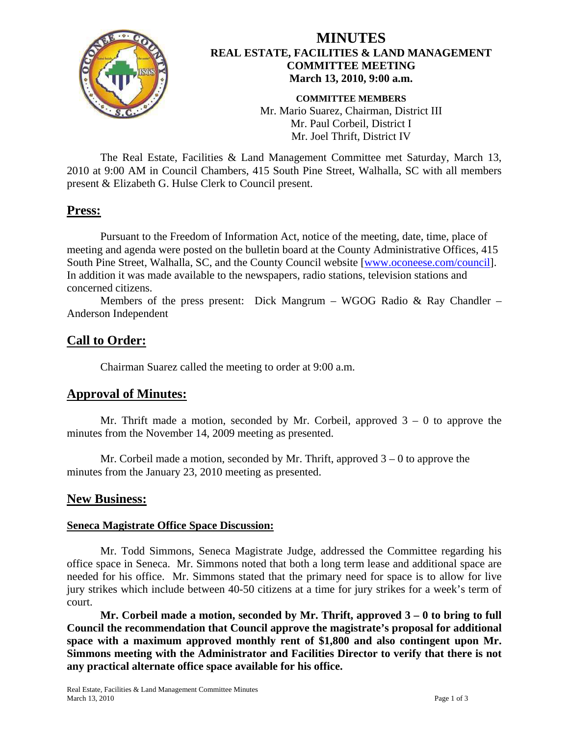

# **MINUTES REAL ESTATE, FACILITIES & LAND MANAGEMENT COMMITTEE MEETING March 13, 2010, 9:00 a.m.**

**COMMITTEE MEMBERS**  Mr. Mario Suarez, Chairman, District III Mr. Paul Corbeil, District I Mr. Joel Thrift, District IV

 The Real Estate, Facilities & Land Management Committee met Saturday, March 13, 2010 at 9:00 AM in Council Chambers, 415 South Pine Street, Walhalla, SC with all members present & Elizabeth G. Hulse Clerk to Council present.

# **Press:**

Pursuant to the Freedom of Information Act, notice of the meeting, date, time, place of meeting and agenda were posted on the bulletin board at the County Administrative Offices, 415 South Pine Street, Walhalla, SC, and the County Council website [\[www.oconeese.com/council\]](http://www.oconeese.com/council). In addition it was made available to the newspapers, radio stations, television stations and concerned citizens.

Members of the press present: Dick Mangrum – WGOG Radio  $\&$  Ray Chandler – Anderson Independent

# **Call to Order:**

Chairman Suarez called the meeting to order at 9:00 a.m.

# **Approval of Minutes:**

Mr. Thrift made a motion, seconded by Mr. Corbeil, approved  $3 - 0$  to approve the minutes from the November 14, 2009 meeting as presented.

Mr. Corbeil made a motion, seconded by Mr. Thrift, approved  $3 - 0$  to approve the minutes from the January 23, 2010 meeting as presented.

# **New Business:**

#### **Seneca Magistrate Office Space Discussion:**

Mr. Todd Simmons, Seneca Magistrate Judge, addressed the Committee regarding his office space in Seneca. Mr. Simmons noted that both a long term lease and additional space are needed for his office. Mr. Simmons stated that the primary need for space is to allow for live jury strikes which include between 40-50 citizens at a time for jury strikes for a week's term of court.

 **Mr. Corbeil made a motion, seconded by Mr. Thrift, approved 3 – 0 to bring to full Council the recommendation that Council approve the magistrate's proposal for additional space with a maximum approved monthly rent of \$1,800 and also contingent upon Mr. Simmons meeting with the Administrator and Facilities Director to verify that there is not any practical alternate office space available for his office.**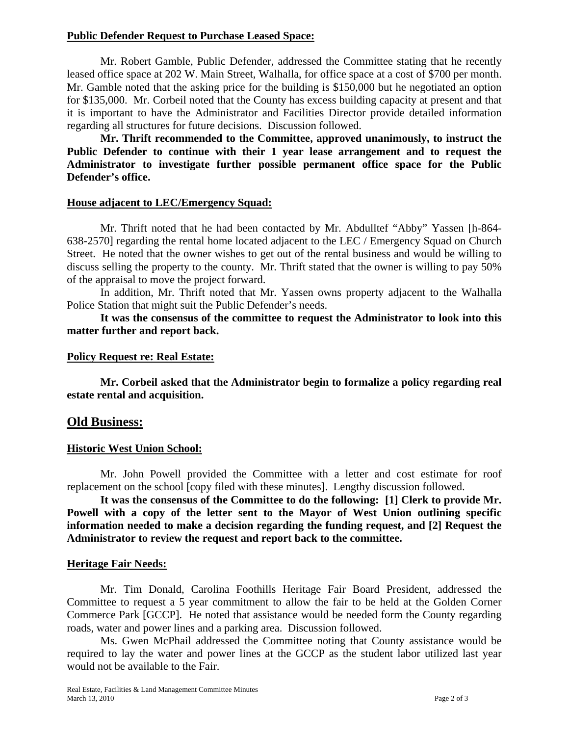#### **Public Defender Request to Purchase Leased Space:**

Mr. Robert Gamble, Public Defender, addressed the Committee stating that he recently leased office space at 202 W. Main Street, Walhalla, for office space at a cost of \$700 per month. Mr. Gamble noted that the asking price for the building is \$150,000 but he negotiated an option for \$135,000. Mr. Corbeil noted that the County has excess building capacity at present and that it is important to have the Administrator and Facilities Director provide detailed information regarding all structures for future decisions. Discussion followed.

 **Mr. Thrift recommended to the Committee, approved unanimously, to instruct the Public Defender to continue with their 1 year lease arrangement and to request the Administrator to investigate further possible permanent office space for the Public Defender's office.** 

#### **House adjacent to LEC/Emergency Squad:**

Mr. Thrift noted that he had been contacted by Mr. Abdulltef "Abby" Yassen [h-864- 638-2570] regarding the rental home located adjacent to the LEC / Emergency Squad on Church Street. He noted that the owner wishes to get out of the rental business and would be willing to discuss selling the property to the county. Mr. Thrift stated that the owner is willing to pay 50% of the appraisal to move the project forward.

In addition, Mr. Thrift noted that Mr. Yassen owns property adjacent to the Walhalla Police Station that might suit the Public Defender's needs.

 **It was the consensus of the committee to request the Administrator to look into this matter further and report back.** 

#### **Policy Request re: Real Estate:**

**Mr. Corbeil asked that the Administrator begin to formalize a policy regarding real estate rental and acquisition.** 

### **Old Business:**

#### **Historic West Union School:**

Mr. John Powell provided the Committee with a letter and cost estimate for roof replacement on the school [copy filed with these minutes]. Lengthy discussion followed.

 **It was the consensus of the Committee to do the following: [1] Clerk to provide Mr. Powell with a copy of the letter sent to the Mayor of West Union outlining specific information needed to make a decision regarding the funding request, and [2] Request the Administrator to review the request and report back to the committee.** 

#### **Heritage Fair Needs:**

Mr. Tim Donald, Carolina Foothills Heritage Fair Board President, addressed the Committee to request a 5 year commitment to allow the fair to be held at the Golden Corner Commerce Park [GCCP]. He noted that assistance would be needed form the County regarding roads, water and power lines and a parking area. Discussion followed.

 Ms. Gwen McPhail addressed the Committee noting that County assistance would be required to lay the water and power lines at the GCCP as the student labor utilized last year would not be available to the Fair.